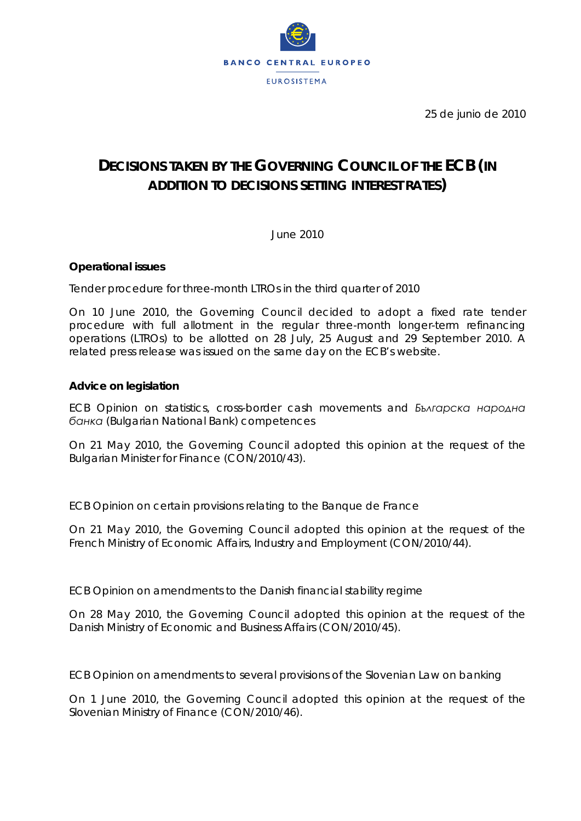

25 de junio de 2010

# **DECISIONS TAKEN BY THE GOVERNING COUNCIL OF THE ECB (IN ADDITION TO DECISIONS SETTING INTEREST RATES)**

June 2010

# **Operational issues**

*Tender procedure for three-month LTROs in the third quarter of 2010*

On 10 June 2010, the Governing Council decided to adopt a fixed rate tender procedure with full allotment in the regular three-month longer-term refinancing operations (LTROs) to be allotted on 28 July, 25 August and 29 September 2010. A related press release was issued on the same day on the ECB's website.

# **Advice on legislation**

*ECB Opinion on statistics, cross-border cash movements and Българска народна банка (Bulgarian National Bank) competences* 

On 21 May 2010, the Governing Council adopted this opinion at the request of the Bulgarian Minister for Finance (CON/2010/43).

### *ECB Opinion on certain provisions relating to the Banque de France*

On 21 May 2010, the Governing Council adopted this opinion at the request of the French Ministry of Economic Affairs, Industry and Employment (CON/2010/44).

*ECB Opinion on amendments to the Danish financial stability regime* 

On 28 May 2010, the Governing Council adopted this opinion at the request of the Danish Ministry of Economic and Business Affairs (CON/2010/45).

*ECB Opinion on amendments to several provisions of the Slovenian Law on banking* 

On 1 June 2010, the Governing Council adopted this opinion at the request of the Slovenian Ministry of Finance (CON/2010/46).